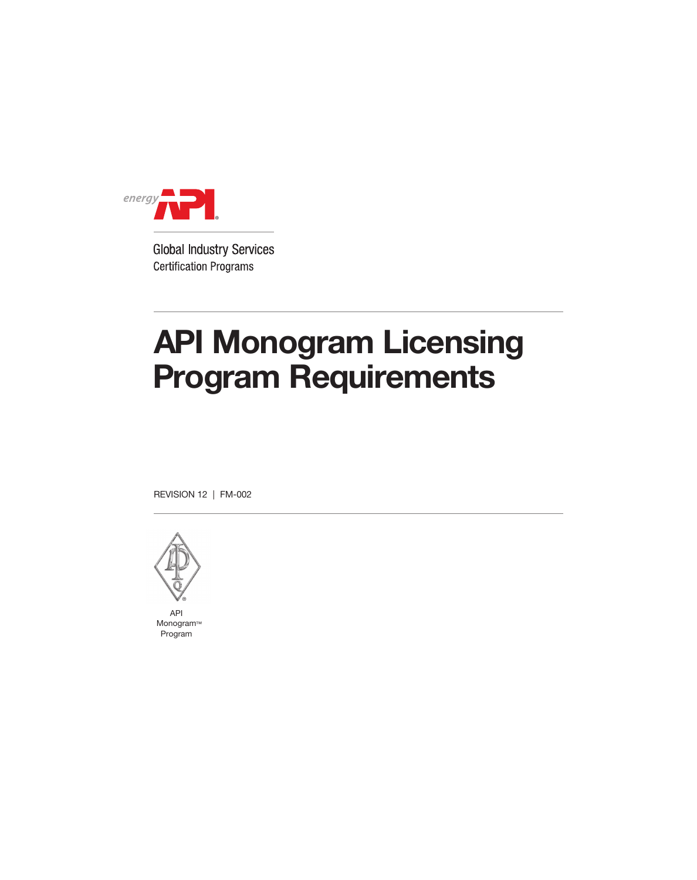

# API Monogram Licensing Program Requirements

REVISION 12 | FM-002



API Monogram ™ Program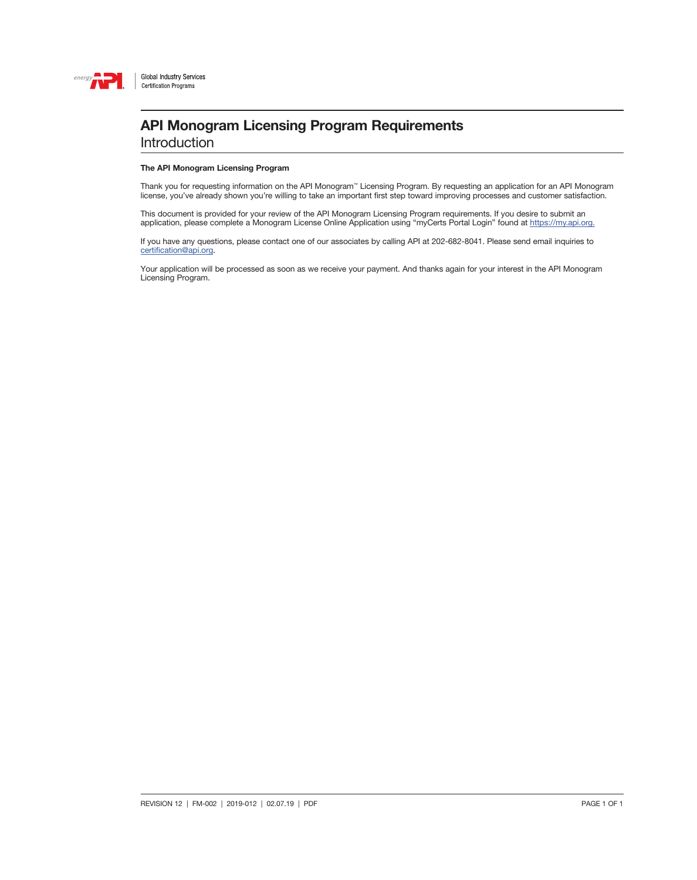

**Introduction** 

#### The API Monogram Licensing Program

Thank you for requesting information on the API Monogram™ Licensing Program. By requesting an application for an API Monogram license, you've already shown you're willing to take an important first step toward improving processes and customer satisfaction.

This document is provided for your review of the API Monogram Licensing Program requirements. If you desire to submit an application, please complete a Monogram License Online Application using "myCerts Portal Login" found at [https://my.api.org.](https://my.api.org)

If you have any questions, please contact one of our associates by calling API at 202-682-8041. Please send email inquiries to [certification@api.org](mailto:certification%40api.org?subject=).

Your application will be processed as soon as we receive your payment. And thanks again for your interest in the API Monogram Licensing Program.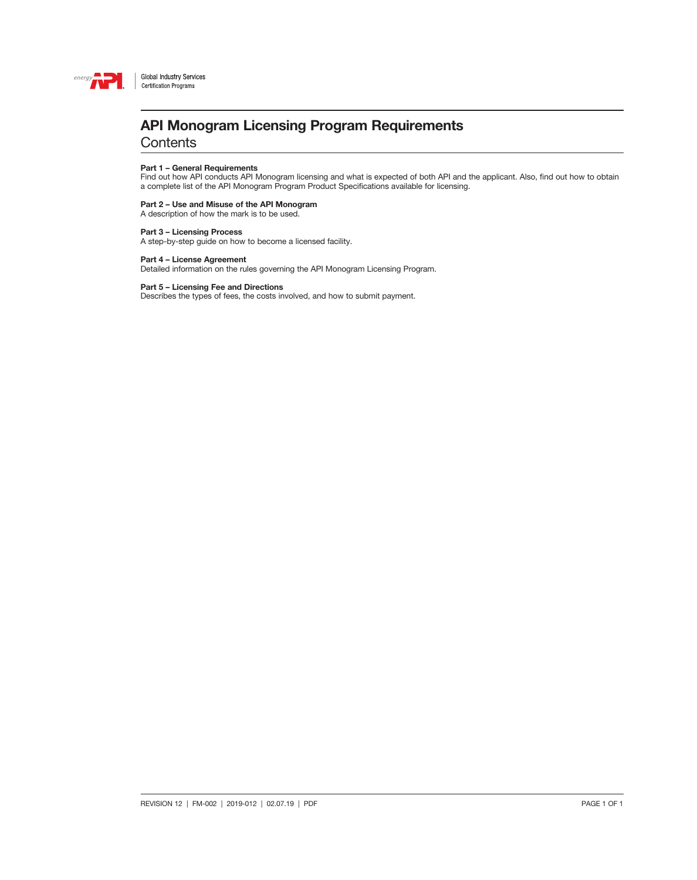

### API Monogram Licensing Program Requirements

**Contents** 

#### Part 1 – General Requirements

Find out how API conducts API Monogram licensing and what is expected of both API and the applicant. Also, find out how to obtain a complete list of the API Monogram Program Product Specifications available for licensing.

#### Part 2 – Use and Misuse of the API Monogram

A description of how the mark is to be used.

#### Part 3 – Licensing Process

A step-by-step guide on how to become a licensed facility.

#### Part 4 – License Agreement

Detailed information on the rules governing the API Monogram Licensing Program.

#### Part 5 – Licensing Fee and Directions

Describes the types of fees, the costs involved, and how to submit payment.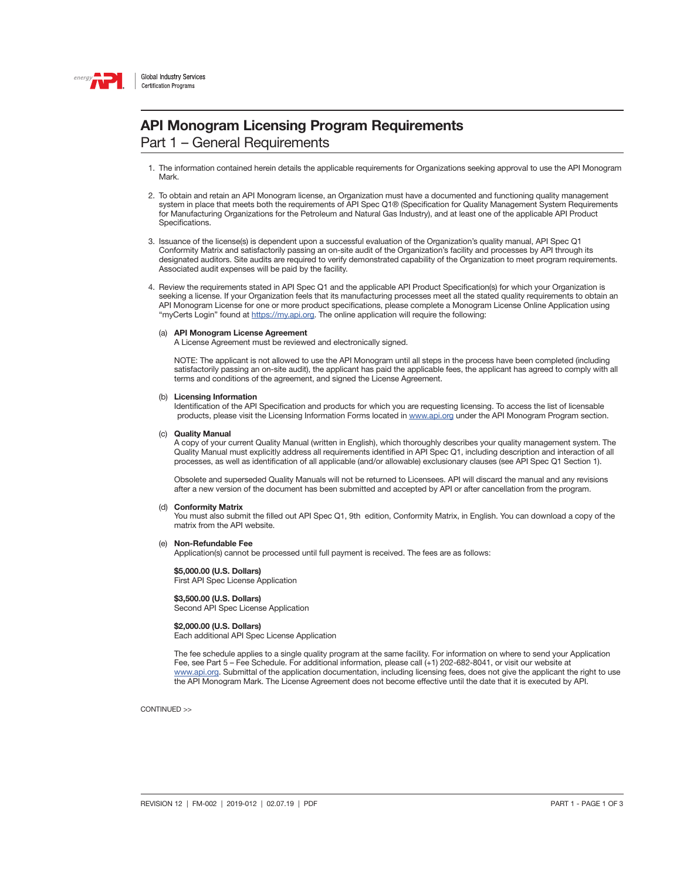

Part 1 – General Requirements

- 1. The information contained herein details the applicable requirements for Organizations seeking approval to use the API Monogram Mark.
- 2. To obtain and retain an API Monogram license, an Organization must have a documented and functioning quality management system in place that meets both the requirements of API Spec Q1® (Specification for Quality Management System Requirements for Manufacturing Organizations for the Petroleum and Natural Gas Industry), and at least one of the applicable API Product Specifications.
- 3. Issuance of the license(s) is dependent upon a successful evaluation of the Organization's quality manual, API Spec Q1 Conformity Matrix and satisfactorily passing an on-site audit of the Organization's facility and processes by API through its designated auditors. Site audits are required to verify demonstrated capability of the Organization to meet program requirements. Associated audit expenses will be paid by the facility.
- 4. Review the requirements stated in API Spec Q1 and the applicable API Product Specification(s) for which your Organization is seeking a license. If your Organization feels that its manufacturing processes meet all the stated quality requirements to obtain an API Monogram License for one or more product specifications, please complete a Monogram License Online Application using "myCerts Login" found at [https://my.api.org.](https://my.api.org) The online application will require the following:

#### (a) API Monogram License Agreement

A License Agreement must be reviewed and electronically signed.

NOTE: The applicant is not allowed to use the API Monogram until all steps in the process have been completed (including satisfactorily passing an on-site audit), the applicant has paid the applicable fees, the applicant has agreed to comply with all terms and conditions of the agreement, and signed the License Agreement.

#### (b) Licensing Information

Identification of the API Specification and products for which you are requesting licensing. To access the list of licensable products, please visit the Licensing Information Forms located in [www.api.org](http://www.api.org) under the API Monogram Program section.

#### (c) Quality Manual

 A copy of your current Quality Manual (written in English), which thoroughly describes your quality management system. The Quality Manual must explicitly address all requirements identified in API Spec Q1, including description and interaction of all processes, as well as identification of all applicable (and/or allowable) exclusionary clauses (see API Spec Q1 Section 1).

 Obsolete and superseded Quality Manuals will not be returned to Licensees. API will discard the manual and any revisions after a new version of the document has been submitted and accepted by API or after cancellation from the program.

#### (d) Conformity Matrix

 You must also submit the filled out API Spec Q1, 9th edition, Conformity Matrix, in English. You can download a copy of the matrix from the API website.

(e) Non-Refundable Fee

Application(s) cannot be processed until full payment is received. The fees are as follows:

#### \$5,000.00 (U.S. Dollars)

First API Spec License Application

### \$3,500.00 (U.S. Dollars)

Second API Spec License Application

#### \$2,000.00 (U.S. Dollars)

Each additional API Spec License Application

 The fee schedule applies to a single quality program at the same facility. For information on where to send your Application Fee, see Part 5 – Fee Schedule. For additional information, please call (+1) 202-682-8041, or visit our website at [www.api.org.](http://www.api.org) Submittal of the application documentation, including licensing fees, does not give the applicant the right to use the API Monogram Mark. The License Agreement does not become effective until the date that it is executed by API.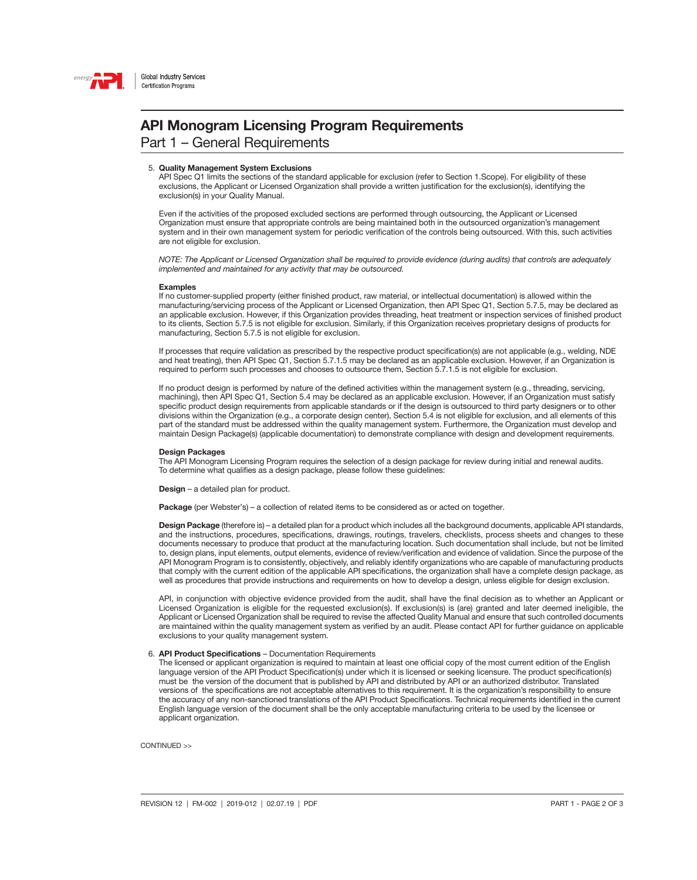

Part 1 – General Requirements

#### 5. Quality Management System Exclusions

 API Spec Q1 limits the sections of the standard applicable for exclusion (refer to Section 1.Scope). For eligibility of these exclusions, the Applicant or Licensed Organization shall provide a written justification for the exclusion(s), identifying the exclusion(s) in your Quality Manual.

 Even if the activities of the proposed excluded sections are performed through outsourcing, the Applicant or Licensed Organization must ensure that appropriate controls are being maintained both in the outsourced organization's management system and in their own management system for periodic verification of the controls being outsourced. With this, such activities are not eligible for exclusion.

 *NOTE: The Applicant or Licensed Organization shall be required to provide evidence (during audits) that controls are adequately implemented and maintained for any activity that may be outsourced.*

#### Examples

 If no customer-supplied property (either finished product, raw material, or intellectual documentation) is allowed within the manufacturing/servicing process of the Applicant or Licensed Organization, then API Spec Q1, Section 5.7.5, may be declared as an applicable exclusion. However, if this Organization provides threading, heat treatment or inspection services of finished product to its clients, Section 5.7.5 is not eligible for exclusion. Similarly, if this Organization receives proprietary designs of products for manufacturing, Section 5.7.5 is not eligible for exclusion.

 If processes that require validation as prescribed by the respective product specification(s) are not applicable (e.g., welding, NDE and heat treating), then API Spec Q1, Section 5.7.1.5 may be declared as an applicable exclusion. However, if an Organization is required to perform such processes and chooses to outsource them, Section 5.7.1.5 is not eligible for exclusion.

 If no product design is performed by nature of the defined activities within the management system (e.g., threading, servicing, machining), then API Spec Q1, Section 5.4 may be declared as an applicable exclusion. However, if an Organization must satisfy specific product design requirements from applicable standards or if the design is outsourced to third party designers or to other divisions within the Organization (e.g., a corporate design center), Section 5.4 is not eligible for exclusion, and all elements of this part of the standard must be addressed within the quality management system. Furthermore, the Organization must develop and maintain Design Package(s) (applicable documentation) to demonstrate compliance with design and development requirements.

#### Design Packages

 The API Monogram Licensing Program requires the selection of a design package for review during initial and renewal audits. To determine what qualifies as a design package, please follow these guidelines:

Design – a detailed plan for product.

Package (per Webster's) – a collection of related items to be considered as or acted on together.

Design Package (therefore is) – a detailed plan for a product which includes all the background documents, applicable API standards, and the instructions, procedures, specifications, drawings, routings, travelers, checklists, process sheets and changes to these documents necessary to produce that product at the manufacturing location. Such documentation shall include, but not be limited to, design plans, input elements, output elements, evidence of review/verification and evidence of validation. Since the purpose of the API Monogram Program is to consistently, objectively, and reliably identify organizations who are capable of manufacturing products that comply with the current edition of the applicable API specifications, the organization shall have a complete design package, as well as procedures that provide instructions and requirements on how to develop a design, unless eligible for design exclusion.

API, in conjunction with objective evidence provided from the audit, shall have the final decision as to whether an Applicant or Licensed Organization is eligible for the requested exclusion(s). If exclusion(s) is (are) granted and later deemed ineligible, the Applicant or Licensed Organization shall be required to revise the affected Quality Manual and ensure that such controlled documents are maintained within the quality management system as verified by an audit. Please contact API for further guidance on applicable exclusions to your quality management system.

#### 6. API Product Specifications – Documentation Requirements

The licensed or applicant organization is required to maintain at least one official copy of the most current edition of the English language version of the API Product Specification(s) under which it is licensed or seeking licensure. The product specification(s) must be the version of the document that is published by API and distributed by API or an authorized distributor. Translated versions of the specifications are not acceptable alternatives to this requirement. It is the organization's responsibility to ensure the accuracy of any non-sanctioned translations of the API Product Specifications. Technical requirements identified in the current English language version of the document shall be the only acceptable manufacturing criteria to be used by the licensee or applicant organization.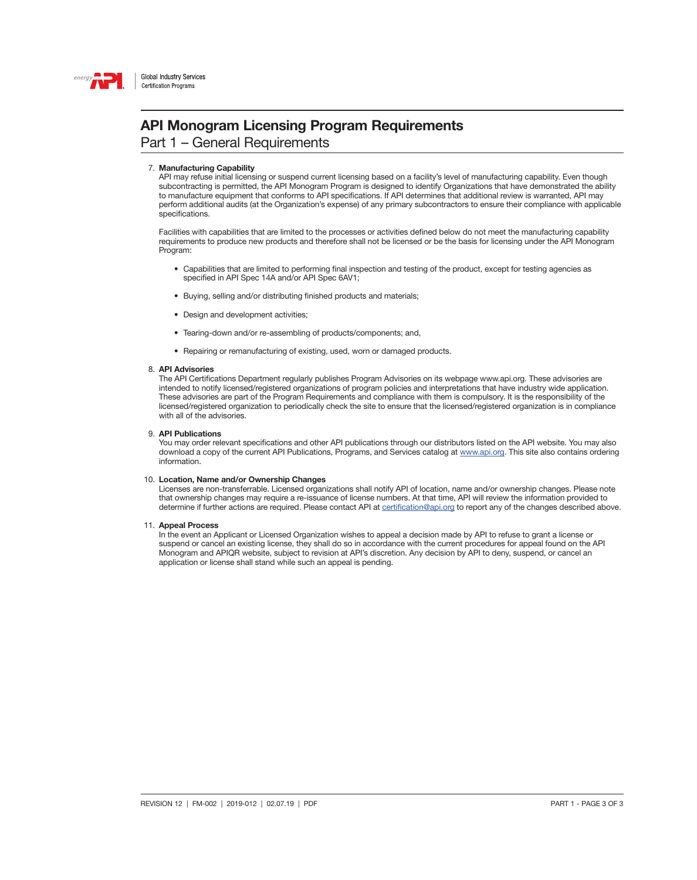

Part 1 – General Requirements

#### 7. Manufacturing Capability

 API may refuse initial licensing or suspend current licensing based on a facility's level of manufacturing capability. Even though subcontracting is permitted, the API Monogram Program is designed to identify Organizations that have demonstrated the ability to manufacture equipment that conforms to API specifications. If API determines that additional review is warranted, API may perform additional audits (at the Organization's expense) of any primary subcontractors to ensure their compliance with applicable specifications.

 Facilities with capabilities that are limited to the processes or activities defined below do not meet the manufacturing capability requirements to produce new products and therefore shall not be licensed or be the basis for licensing under the API Monogram Program:

- Capabilities that are limited to performing final inspection and testing of the product, except for testing agencies as specified in API Spec 14A and/or API Spec 6AV1;
- Buying, selling and/or distributing finished products and materials;
- Design and development activities;
- Tearing-down and/or re-assembling of products/components; and,
- Repairing or remanufacturing of existing, used, worn or damaged products.

#### 8. API Advisories

The API Certifications Department regularly publishes Program Advisories on its webpage www.api.org. These advisories are intended to notify licensed/registered organizations of program policies and interpretations that have industry wide application. These advisories are part of the Program Requirements and compliance with them is compulsory. It is the responsibility of the licensed/registered organization to periodically check the site to ensure that the licensed/registered organization is in compliance with all of the advisories.

#### 9. API Publications

You may order relevant specifications and other API publications through our distributors listed on the API website. You may also download a copy of the current API Publications, Programs, and Services catalog at [www.api.org](http://www.api.org). This site also contains ordering information.

#### 10. Location, Name and/or Ownership Changes

Licenses are non-transferrable. Licensed organizations shall notify API of location, name and/or ownership changes. Please note that ownership changes may require a re-issuance of license numbers. At that time, API will review the information provided to determine if further actions are required. Please contact API at [certification@api.org](mailto:certification%40api.org?subject=) to report any of the changes described above.

#### 11. Appeal Process

In the event an Applicant or Licensed Organization wishes to appeal a decision made by API to refuse to grant a license or suspend or cancel an existing license, they shall do so in accordance with the current procedures for appeal found on the API Monogram and APIQR website, subject to revision at API's discretion. Any decision by API to deny, suspend, or cancel an application or license shall stand while such an appeal is pending.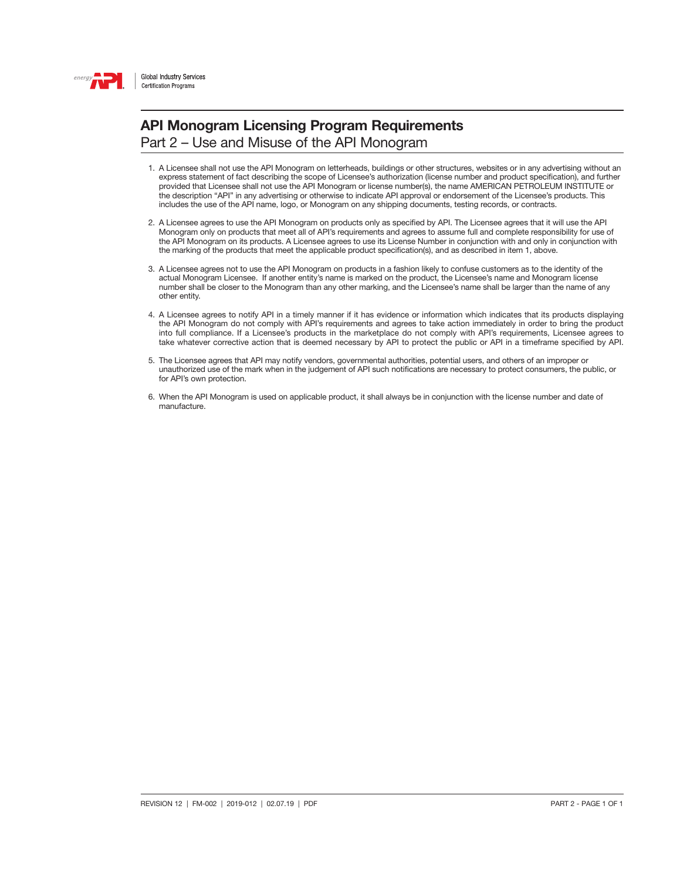

Part 2 – Use and Misuse of the API Monogram

- 1. A Licensee shall not use the API Monogram on letterheads, buildings or other structures, websites or in any advertising without an express statement of fact describing the scope of Licensee's authorization (license number and product specification), and further provided that Licensee shall not use the API Monogram or license number(s), the name AMERICAN PETROLEUM INSTITUTE or the description "API" in any advertising or otherwise to indicate API approval or endorsement of the Licensee's products. This includes the use of the API name, logo, or Monogram on any shipping documents, testing records, or contracts.
- 2. A Licensee agrees to use the API Monogram on products only as specified by API. The Licensee agrees that it will use the API Monogram only on products that meet all of API's requirements and agrees to assume full and complete responsibility for use of the API Monogram on its products. A Licensee agrees to use its License Number in conjunction with and only in conjunction with the marking of the products that meet the applicable product specification(s), and as described in item 1, above.
- 3. A Licensee agrees not to use the API Monogram on products in a fashion likely to confuse customers as to the identity of the actual Monogram Licensee. If another entity's name is marked on the product, the Licensee's name and Monogram license number shall be closer to the Monogram than any other marking, and the Licensee's name shall be larger than the name of any other entity.
- 4. A Licensee agrees to notify API in a timely manner if it has evidence or information which indicates that its products displaying the API Monogram do not comply with API's requirements and agrees to take action immediately in order to bring the product into full compliance. If a Licensee's products in the marketplace do not comply with API's requirements, Licensee agrees to take whatever corrective action that is deemed necessary by API to protect the public or API in a timeframe specified by API.
- 5. The Licensee agrees that API may notify vendors, governmental authorities, potential users, and others of an improper or unauthorized use of the mark when in the judgement of API such notifications are necessary to protect consumers, the public, or for API's own protection.
- 6. When the API Monogram is used on applicable product, it shall always be in conjunction with the license number and date of manufacture.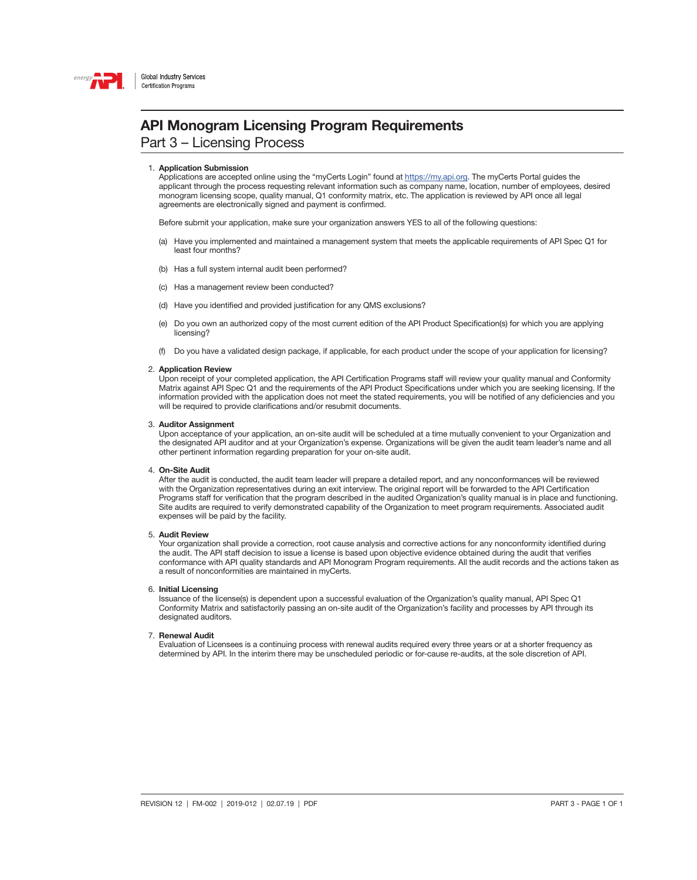

Part 3 – Licensing Process

#### 1. Application Submission

Applications are accepted online using the "myCerts Login" found at <https://my.api.org>. The myCerts Portal guides the applicant through the process requesting relevant information such as company name, location, number of employees, desired monogram licensing scope, quality manual, Q1 conformity matrix, etc. The application is reviewed by API once all legal agreements are electronically signed and payment is confirmed.

Before submit your application, make sure your organization answers YES to all of the following questions:

- (a) Have you implemented and maintained a management system that meets the applicable requirements of API Spec Q1 for least four months?
- (b) Has a full system internal audit been performed?
- (c) Has a management review been conducted?
- (d) Have you identified and provided justification for any QMS exclusions?
- (e) Do you own an authorized copy of the most current edition of the API Product Specification(s) for which you are applying licensing?
- (f) Do you have a validated design package, if applicable, for each product under the scope of your application for licensing?

#### 2. Application Review

Upon receipt of your completed application, the API Certification Programs staff will review your quality manual and Conformity Matrix against API Spec Q1 and the requirements of the API Product Specifications under which you are seeking licensing. If the information provided with the application does not meet the stated requirements, you will be notified of any deficiencies and you will be required to provide clarifications and/or resubmit documents.

#### 3. Auditor Assignment

Upon acceptance of your application, an on-site audit will be scheduled at a time mutually convenient to your Organization and the designated API auditor and at your Organization's expense. Organizations will be given the audit team leader's name and all other pertinent information regarding preparation for your on-site audit.

#### 4. On-Site Audit

After the audit is conducted, the audit team leader will prepare a detailed report, and any nonconformances will be reviewed with the Organization representatives during an exit interview. The original report will be forwarded to the API Certification Programs staff for verification that the program described in the audited Organization's quality manual is in place and functioning. Site audits are required to verify demonstrated capability of the Organization to meet program requirements. Associated audit expenses will be paid by the facility.

#### 5. Audit Review

Your organization shall provide a correction, root cause analysis and corrective actions for any nonconformity identified during the audit. The API staff decision to issue a license is based upon objective evidence obtained during the audit that verifies conformance with API quality standards and API Monogram Program requirements. All the audit records and the actions taken as a result of nonconformities are maintained in myCerts.

#### 6. Initial Licensing

Issuance of the license(s) is dependent upon a successful evaluation of the Organization's quality manual, API Spec Q1 Conformity Matrix and satisfactorily passing an on-site audit of the Organization's facility and processes by API through its designated auditors.

#### 7. Renewal Audit

Evaluation of Licensees is a continuing process with renewal audits required every three years or at a shorter frequency as determined by API. In the interim there may be unscheduled periodic or for-cause re-audits, at the sole discretion of API.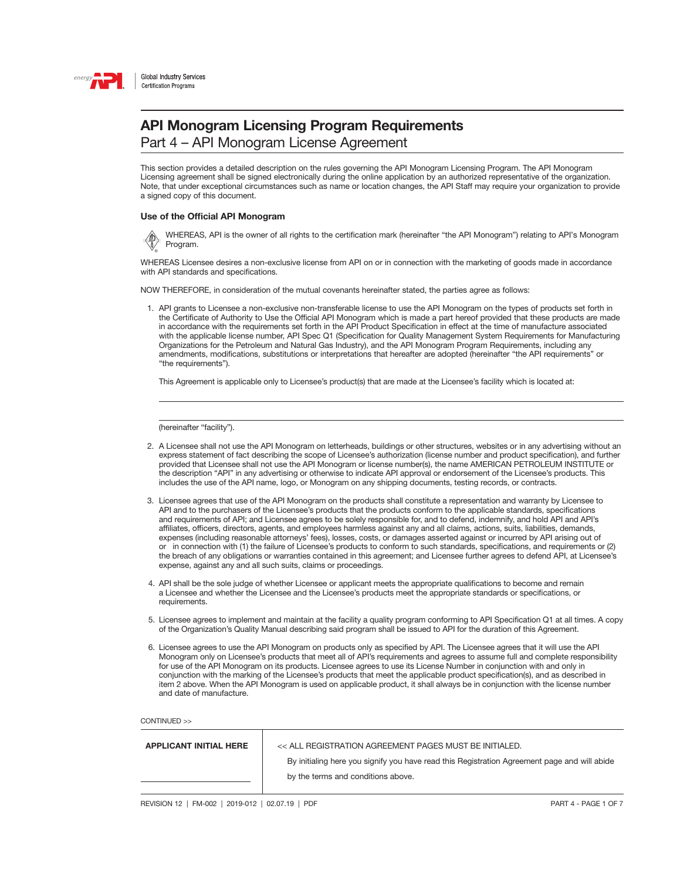

Part 4 – API Monogram License Agreement

This section provides a detailed description on the rules governing the API Monogram Licensing Program. The API Monogram Licensing agreement shall be signed electronically during the online application by an authorized representative of the organization. Note, that under exceptional circumstances such as name or location changes, the API Staff may require your organization to provide a signed copy of this document.

#### Use of the Official API Monogram

WHEREAS, API is the owner of all rights to the certification mark (hereinafter "the API Monogram") relating to API's Monogram Program. ® SAMPLE

WHEREAS Licensee desires a non-exclusive license from API on or in connection with the marketing of goods made in accordance with API standards and specifications.

NOW THEREFORE, in consideration of the mutual covenants hereinafter stated, the parties agree as follows:

1. API grants to Licensee a non-exclusive non-transferable license to use the API Monogram on the types of products set forth in the Certificate of Authority to Use the Official API Monogram which is made a part hereof provided that these products are made in accordance with the requirements set forth in the API Product Specification in effect at the time of manufacture associated with the applicable license number, API Spec Q1 (Specification for Quality Management System Requirements for Manufacturing Organizations for the Petroleum and Natural Gas Industry), and the API Monogram Program Requirements, including any amendments, modifications, substitutions or interpretations that hereafter are adopted (hereinafter "the API requirements" or "the requirements").

This Agreement is applicable only to Licensee's product(s) that are made at the Licensee's facility which is located at:

(hereinafter "facility").

- 2. A Licensee shall not use the API Monogram on letterheads, buildings or other structures, websites or in any advertising without an express statement of fact describing the scope of Licensee's authorization (license number and product specification), and further provided that Licensee shall not use the API Monogram or license number(s), the name AMERICAN PETROLEUM INSTITUTE or the description "API" in any advertising or otherwise to indicate API approval or endorsement of the Licensee's products. This includes the use of the API name, logo, or Monogram on any shipping documents, testing records, or contracts.
- 3. Licensee agrees that use of the API Monogram on the products shall constitute a representation and warranty by Licensee to API and to the purchasers of the Licensee's products that the products conform to the applicable standards, specifications and requirements of API; and Licensee agrees to be solely responsible for, and to defend, indemnify, and hold API and API's affiliates, officers, directors, agents, and employees harmless against any and all claims, actions, suits, liabilities, demands, expenses (including reasonable attorneys' fees), losses, costs, or damages asserted against or incurred by API arising out of or in connection with (1) the failure of Licensee's products to conform to such standards, specifications, and requirements or (2) the breach of any obligations or warranties contained in this agreement; and Licensee further agrees to defend API, at Licensee's expense, against any and all such suits, claims or proceedings.
- 4. API shall be the sole judge of whether Licensee or applicant meets the appropriate qualifications to become and remain a Licensee and whether the Licensee and the Licensee's products meet the appropriate standards or specifications, or requirements.
- 5. Licensee agrees to implement and maintain at the facility a quality program conforming to API Specification Q1 at all times. A copy of the Organization's Quality Manual describing said program shall be issued to API for the duration of this Agreement.
- 6. Licensee agrees to use the API Monogram on products only as specified by API. The Licensee agrees that it will use the API Monogram only on Licensee's products that meet all of API's requirements and agrees to assume full and complete responsibility for use of the API Monogram on its products. Licensee agrees to use its License Number in conjunction with and only in conjunction with the marking of the Licensee's products that meet the applicable product specification(s), and as described in item 2 above. When the API Monogram is used on applicable product, it shall always be in conjunction with the license number and date of manufacture.

| <b>APPLICANT INITIAL HERE</b> | << ALL REGISTRATION AGREEMENT PAGES MUST BE INITIALED.                                       |
|-------------------------------|----------------------------------------------------------------------------------------------|
|                               | By initialing here you signify you have read this Registration Agreement page and will abide |
|                               | by the terms and conditions above.                                                           |
|                               |                                                                                              |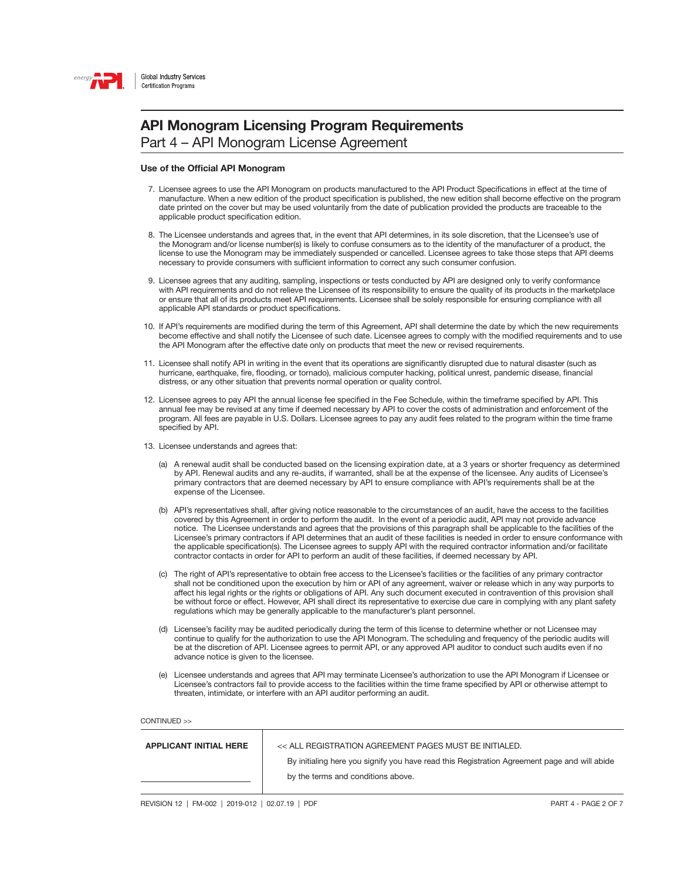

Part 4 – API Monogram License Agreement

#### Use of the Official API Monogram

- 7. Licensee agrees to use the API Monogram on products manufactured to the API Product Specifications in effect at the time of manufacture. When a new edition of the product specification is published, the new edition shall become effective on the program date printed on the cover but may be used voluntarily from the date of publication provided the products are traceable to the applicable product specification edition.
- 8. The Licensee understands and agrees that, in the event that API determines, in its sole discretion, that the Licensee's use of the Monogram and/or license number(s) is likely to confuse consumers as to the identity of the manufacturer of a product, the license to use the Monogram may be immediately suspended or cancelled. Licensee agrees to take those steps that API deems necessary to provide consumers with sufficient information to correct any such consumer confusion.
- 9. Licensee agrees that any auditing, sampling, inspections or tests conducted by API are designed only to verify conformance with API requirements and do not relieve the Licensee of its responsibility to ensure the quality of its products in the marketplace or ensure that all of its products meet API requirements. Licensee shall be solely responsible for ensuring compliance with all applicable API standards or product specifications.
- 10. If API's requirements are modified during the term of this Agreement, API shall determine the date by which the new requirements become effective and shall notify the Licensee of such date. Licensee agrees to comply with the modified requirements and to use the API Monogram after the effective date only on products that meet the new or revised requirements.
- 11. Licensee shall notify API in writing in the event that its operations are significantly disrupted due to natural disaster (such as hurricane, earthquake, fire, flooding, or tornado), malicious computer hacking, political unrest, pandemic disease, financial distress, or any other situation that prevents normal operation or quality control.
- 12. Licensee agrees to pay API the annual license fee specified in the Fee Schedule, within the timeframe specified by API. This annual fee may be revised at any time if deemed necessary by API to cover the costs of administration and enforcement of the program. All fees are payable in U.S. Dollars. Licensee agrees to pay any audit fees related to the program within the time frame specified by API.
- 13. Licensee understands and agrees that:
	- (a) A renewal audit shall be conducted based on the licensing expiration date, at a 3 years or shorter frequency as determined by API. Renewal audits and any re-audits, if warranted, shall be at the expense of the licensee. Any audits of Licensee's primary contractors that are deemed necessary by API to ensure compliance with API's requirements shall be at the expense of the Licensee.
	- (b) API's representatives shall, after giving notice reasonable to the circumstances of an audit, have the access to the facilities covered by this Agreement in order to perform the audit. In the event of a periodic audit, API may not provide advance notice. The Licensee understands and agrees that the provisions of this paragraph shall be applicable to the facilities of the Licensee's primary contractors if API determines that an audit of these facilities is needed in order to ensure conformance with the applicable specification(s). The Licensee agrees to supply API with the required contractor information and/or facilitate contractor contacts in order for API to perform an audit of these facilities, if deemed necessary by API.
	- (c) The right of API's representative to obtain free access to the Licensee's facilities or the facilities of any primary contractor shall not be conditioned upon the execution by him or API of any agreement, waiver or release which in any way purports to affect his legal rights or the rights or obligations of API. Any such document executed in contravention of this provision shall be without force or effect. However, API shall direct its representative to exercise due care in complying with any plant safety regulations which may be generally applicable to the manufacturer's plant personnel.
	- (d) Licensee's facility may be audited periodically during the term of this license to determine whether or not Licensee may continue to qualify for the authorization to use the API Monogram. The scheduling and frequency of the periodic audits will be at the discretion of API. Licensee agrees to permit API, or any approved API auditor to conduct such audits even if no advance notice is given to the licensee.
	- (e) Licensee understands and agrees that API may terminate Licensee's authorization to use the API Monogram if Licensee or Licensee's contractors fail to provide access to the facilities within the time frame specified by API or otherwise attempt to threaten, intimidate, or interfere with an API auditor performing an audit.

| <b>APPLICANT INITIAL HERE</b> | << ALL REGISTRATION AGREEMENT PAGES MUST BE INITIALED.                                       |
|-------------------------------|----------------------------------------------------------------------------------------------|
|                               | By initialing here you signify you have read this Registration Agreement page and will abide |
|                               | by the terms and conditions above.                                                           |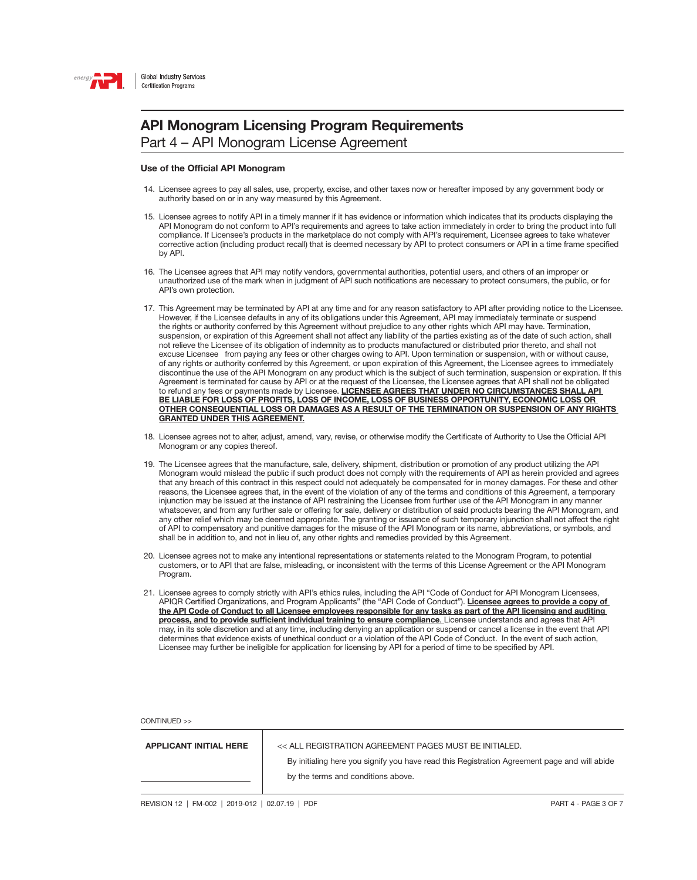

Part 4 – API Monogram License Agreement

#### Use of the Official API Monogram

- 14. Licensee agrees to pay all sales, use, property, excise, and other taxes now or hereafter imposed by any government body or authority based on or in any way measured by this Agreement.
- 15. Licensee agrees to notify API in a timely manner if it has evidence or information which indicates that its products displaying the API Monogram do not conform to API's requirements and agrees to take action immediately in order to bring the product into full compliance. If Licensee's products in the marketplace do not comply with API's requirement, Licensee agrees to take whatever corrective action (including product recall) that is deemed necessary by API to protect consumers or API in a time frame specified by API.
- 16. The Licensee agrees that API may notify vendors, governmental authorities, potential users, and others of an improper or unauthorized use of the mark when in judgment of API such notifications are necessary to protect consumers, the public, or for API's own protection.
- 17. This Agreement may be terminated by API at any time and for any reason satisfactory to API after providing notice to the Licensee. However, if the Licensee defaults in any of its obligations under this Agreement, API may immediately terminate or suspend the rights or authority conferred by this Agreement without prejudice to any other rights which API may have. Termination, suspension, or expiration of this Agreement shall not affect any liability of the parties existing as of the date of such action, shall not relieve the Licensee of its obligation of indemnity as to products manufactured or distributed prior thereto, and shall not excuse Licensee from paying any fees or other charges owing to API. Upon termination or suspension, with or without cause, of any rights or authority conferred by this Agreement, or upon expiration of this Agreement, the Licensee agrees to immediately discontinue the use of the API Monogram on any product which is the subject of such termination, suspension or expiration. If this Agreement is terminated for cause by API or at the request of the Licensee, the Licensee agrees that API shall not be obligated to refund any fees or payments made by Licensee. LICENSEE AGREES THAT UNDER NO CIRCUMSTANCES SHALL API BE LIABLE FOR LOSS OF PROFITS, LOSS OF INCOME, LOSS OF BUSINESS OPPORTUNITY, ECONOMIC LOSS OR OTHER CONSEQUENTIAL LOSS OR DAMAGES AS A RESULT OF THE TERMINATION OR SUSPENSION OF ANY RIGHTS GRANTED UNDER THIS AGREEMENT.
- 18. Licensee agrees not to alter, adjust, amend, vary, revise, or otherwise modify the Certificate of Authority to Use the Official API Monogram or any copies thereof.
- 19. The Licensee agrees that the manufacture, sale, delivery, shipment, distribution or promotion of any product utilizing the API Monogram would mislead the public if such product does not comply with the requirements of API as herein provided and agrees that any breach of this contract in this respect could not adequately be compensated for in money damages. For these and other reasons, the Licensee agrees that, in the event of the violation of any of the terms and conditions of this Agreement, a temporary injunction may be issued at the instance of API restraining the Licensee from further use of the API Monogram in any manner whatsoever, and from any further sale or offering for sale, delivery or distribution of said products bearing the API Monogram, and any other relief which may be deemed appropriate. The granting or issuance of such temporary injunction shall not affect the right of API to compensatory and punitive damages for the misuse of the API Monogram or its name, abbreviations, or symbols, and shall be in addition to, and not in lieu of, any other rights and remedies provided by this Agreement.
- 20. Licensee agrees not to make any intentional representations or statements related to the Monogram Program, to potential customers, or to API that are false, misleading, or inconsistent with the terms of this License Agreement or the API Monogram Program.
- 21. Licensee agrees to comply strictly with API's ethics rules, including the API "Code of Conduct for API Monogram Licensees, APIQR Certified Organizations, and Program Applicants" (the "API Code of Conduct"). Licensee agrees to provide a copy of the API Code of Conduct to all Licensee employees responsible for any tasks as part of the API licensing and auditing process, and to provide sufficient individual training to ensure compliance. Licensee understands and agrees that API may, in its sole discretion and at any time, including denying an application or suspend or cancel a license in the event that API determines that evidence exists of unethical conduct or a violation of the API Code of Conduct. In the event of such action, Licensee may further be ineligible for application for licensing by API for a period of time to be specified by API.

CONTINUED >>

APPLICANT INITIAL HERE << ALL REGISTRATION AGREEMENT PAGES MUST BE INITIALED.

By initialing here you signify you have read this Registration Agreement page and will abide by the terms and conditions above.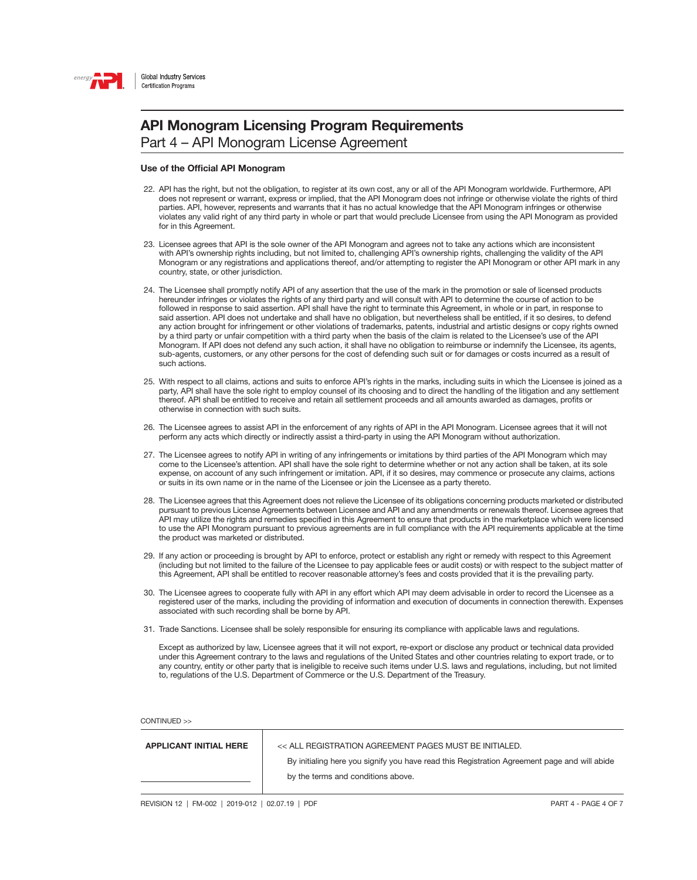

Part 4 – API Monogram License Agreement

#### Use of the Official API Monogram

- 22. API has the right, but not the obligation, to register at its own cost, any or all of the API Monogram worldwide. Furthermore, API does not represent or warrant, express or implied, that the API Monogram does not infringe or otherwise violate the rights of third parties. API, however, represents and warrants that it has no actual knowledge that the API Monogram infringes or otherwise violates any valid right of any third party in whole or part that would preclude Licensee from using the API Monogram as provided for in this Agreement.
- 23. Licensee agrees that API is the sole owner of the API Monogram and agrees not to take any actions which are inconsistent with API's ownership rights including, but not limited to, challenging API's ownership rights, challenging the validity of the API Monogram or any registrations and applications thereof, and/or attempting to register the API Monogram or other API mark in any country, state, or other jurisdiction.
- 24. The Licensee shall promptly notify API of any assertion that the use of the mark in the promotion or sale of licensed products hereunder infringes or violates the rights of any third party and will consult with API to determine the course of action to be followed in response to said assertion. API shall have the right to terminate this Agreement, in whole or in part, in response to said assertion. API does not undertake and shall have no obligation, but nevertheless shall be entitled, if it so desires, to defend any action brought for infringement or other violations of trademarks, patents, industrial and artistic designs or copy rights owned by a third party or unfair competition with a third party when the basis of the claim is related to the Licensee's use of the API Monogram. If API does not defend any such action, it shall have no obligation to reimburse or indemnify the Licensee, its agents, sub-agents, customers, or any other persons for the cost of defending such suit or for damages or costs incurred as a result of such actions.
- 25. With respect to all claims, actions and suits to enforce API's rights in the marks, including suits in which the Licensee is joined as a party, API shall have the sole right to employ counsel of its choosing and to direct the handling of the litigation and any settlement thereof. API shall be entitled to receive and retain all settlement proceeds and all amounts awarded as damages, profits or otherwise in connection with such suits.
- 26. The Licensee agrees to assist API in the enforcement of any rights of API in the API Monogram. Licensee agrees that it will not perform any acts which directly or indirectly assist a third-party in using the API Monogram without authorization.
- 27. The Licensee agrees to notify API in writing of any infringements or imitations by third parties of the API Monogram which may come to the Licensee's attention. API shall have the sole right to determine whether or not any action shall be taken, at its sole expense, on account of any such infringement or imitation. API, if it so desires, may commence or prosecute any claims, actions or suits in its own name or in the name of the Licensee or join the Licensee as a party thereto.
- 28. The Licensee agrees that this Agreement does not relieve the Licensee of its obligations concerning products marketed or distributed pursuant to previous License Agreements between Licensee and API and any amendments or renewals thereof. Licensee agrees that API may utilize the rights and remedies specified in this Agreement to ensure that products in the marketplace which were licensed to use the API Monogram pursuant to previous agreements are in full compliance with the API requirements applicable at the time the product was marketed or distributed.
- 29. If any action or proceeding is brought by API to enforce, protect or establish any right or remedy with respect to this Agreement (including but not limited to the failure of the Licensee to pay applicable fees or audit costs) or with respect to the subject matter of this Agreement, API shall be entitled to recover reasonable attorney's fees and costs provided that it is the prevailing party.
- 30. The Licensee agrees to cooperate fully with API in any effort which API may deem advisable in order to record the Licensee as a registered user of the marks, including the providing of information and execution of documents in connection therewith. Expenses associated with such recording shall be borne by API.
- 31. Trade Sanctions. Licensee shall be solely responsible for ensuring its compliance with applicable laws and regulations.

 Except as authorized by law, Licensee agrees that it will not export, re-export or disclose any product or technical data provided under this Agreement contrary to the laws and regulations of the United States and other countries relating to export trade, or to any country, entity or other party that is ineligible to receive such items under U.S. laws and regulations, including, but not limited to, regulations of the U.S. Department of Commerce or the U.S. Department of the Treasury.

| <b>APPLICANT INITIAL HERE</b> | << ALL REGISTRATION AGREEMENT PAGES MUST BE INITIALED.                                       |
|-------------------------------|----------------------------------------------------------------------------------------------|
|                               | By initialing here you signify you have read this Registration Agreement page and will abide |
|                               | by the terms and conditions above.                                                           |
|                               |                                                                                              |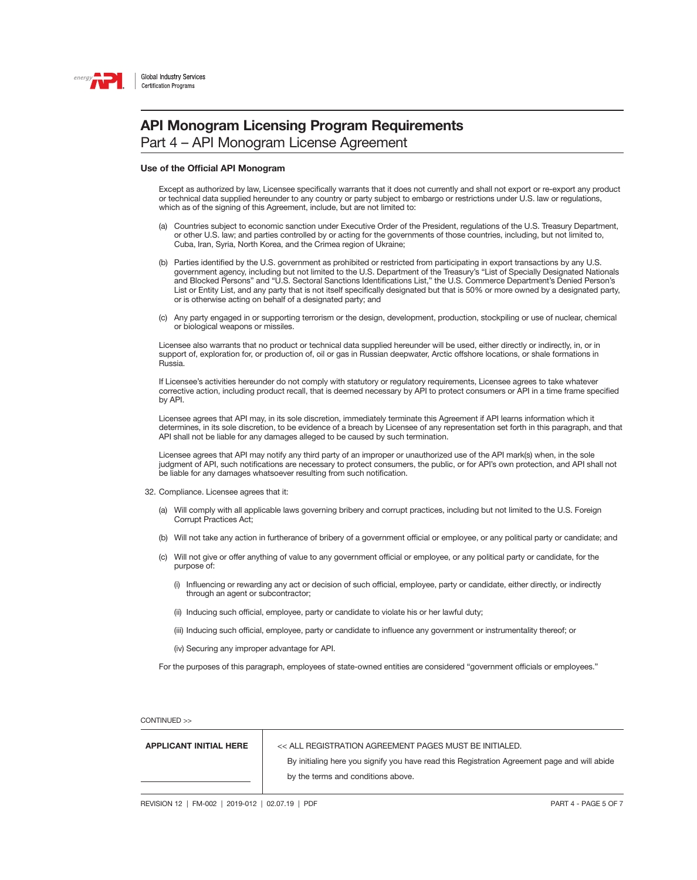

Part 4 – API Monogram License Agreement

#### Use of the Official API Monogram

 Except as authorized by law, Licensee specifically warrants that it does not currently and shall not export or re-export any product or technical data supplied hereunder to any country or party subject to embargo or restrictions under U.S. law or regulations, which as of the signing of this Agreement, include, but are not limited to:

- (a) Countries subject to economic sanction under Executive Order of the President, regulations of the U.S. Treasury Department, or other U.S. law; and parties controlled by or acting for the governments of those countries, including, but not limited to, Cuba, Iran, Syria, North Korea, and the Crimea region of Ukraine;
- (b) Parties identified by the U.S. government as prohibited or restricted from participating in export transactions by any U.S. government agency, including but not limited to the U.S. Department of the Treasury's "List of Specially Designated Nationals and Blocked Persons" and "U.S. Sectoral Sanctions Identifications List," the U.S. Commerce Department's Denied Person's List or Entity List, and any party that is not itself specifically designated but that is 50% or more owned by a designated party, or is otherwise acting on behalf of a designated party; and
- (c) Any party engaged in or supporting terrorism or the design, development, production, stockpiling or use of nuclear, chemical or biological weapons or missiles.

 Licensee also warrants that no product or technical data supplied hereunder will be used, either directly or indirectly, in, or in support of, exploration for, or production of, oil or gas in Russian deepwater, Arctic offshore locations, or shale formations in Russia.

 If Licensee's activities hereunder do not comply with statutory or regulatory requirements, Licensee agrees to take whatever corrective action, including product recall, that is deemed necessary by API to protect consumers or API in a time frame specified by API.

 Licensee agrees that API may, in its sole discretion, immediately terminate this Agreement if API learns information which it determines, in its sole discretion, to be evidence of a breach by Licensee of any representation set forth in this paragraph, and that API shall not be liable for any damages alleged to be caused by such termination.

 Licensee agrees that API may notify any third party of an improper or unauthorized use of the API mark(s) when, in the sole judgment of API, such notifications are necessary to protect consumers, the public, or for API's own protection, and API shall not be liable for any damages whatsoever resulting from such notification.

- 32. Compliance. Licensee agrees that it:
	- (a) Will comply with all applicable laws governing bribery and corrupt practices, including but not limited to the U.S. Foreign Corrupt Practices Act;
	- (b) Will not take any action in furtherance of bribery of a government official or employee, or any political party or candidate; and
	- (c) Will not give or offer anything of value to any government official or employee, or any political party or candidate, for the purpose of:
		- (i) Influencing or rewarding any act or decision of such official, employee, party or candidate, either directly, or indirectly through an agent or subcontractor;
		- (ii) Inducing such official, employee, party or candidate to violate his or her lawful duty;
		- (iii) Inducing such official, employee, party or candidate to influence any government or instrumentality thereof; or
		- (iv) Securing any improper advantage for API.

For the purposes of this paragraph, employees of state-owned entities are considered "government officials or employees."

CONTINUED >>

APPLICANT INITIAL HERE << ALL REGISTRATION AGREEMENT PAGES MUST BE INITIALED.

By initialing here you signify you have read this Registration Agreement page and will abide by the terms and conditions above.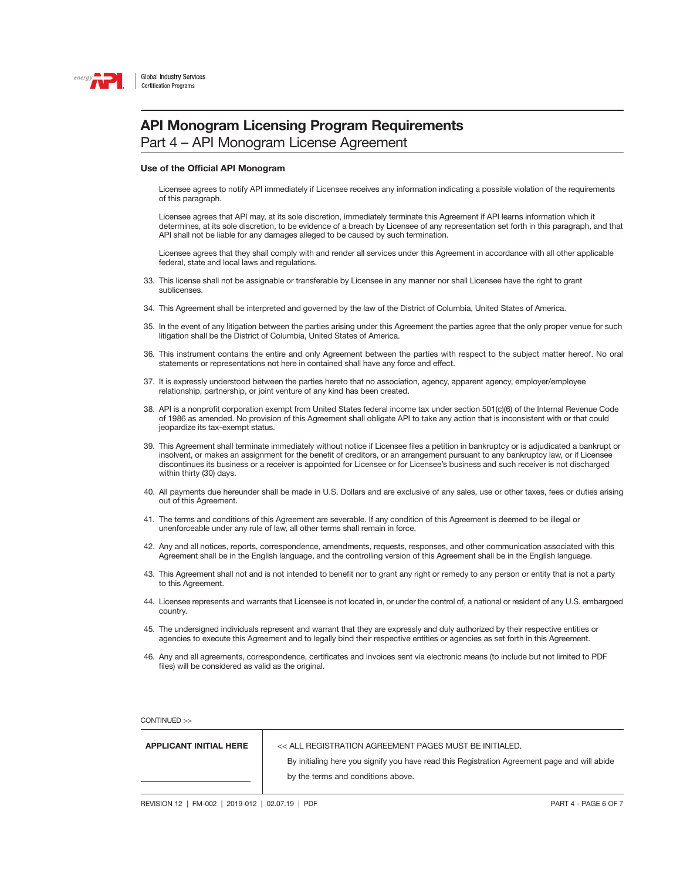

### API Monogram Licensing Program Requirements

Part 4 – API Monogram License Agreement

#### Use of the Official API Monogram

 Licensee agrees to notify API immediately if Licensee receives any information indicating a possible violation of the requirements of this paragraph.

 Licensee agrees that API may, at its sole discretion, immediately terminate this Agreement if API learns information which it determines, at its sole discretion, to be evidence of a breach by Licensee of any representation set forth in this paragraph, and that API shall not be liable for any damages alleged to be caused by such termination.

 Licensee agrees that they shall comply with and render all services under this Agreement in accordance with all other applicable federal, state and local laws and regulations.

- 33. This license shall not be assignable or transferable by Licensee in any manner nor shall Licensee have the right to grant sublicenses.
- 34. This Agreement shall be interpreted and governed by the law of the District of Columbia, United States of America.
- 35. In the event of any litigation between the parties arising under this Agreement the parties agree that the only proper venue for such litigation shall be the District of Columbia, United States of America.
- 36. This instrument contains the entire and only Agreement between the parties with respect to the subject matter hereof. No oral statements or representations not here in contained shall have any force and effect.
- 37. It is expressly understood between the parties hereto that no association, agency, apparent agency, employer/employee relationship, partnership, or joint venture of any kind has been created.
- 38. API is a nonprofit corporation exempt from United States federal income tax under section 501(c)(6) of the Internal Revenue Code of 1986 as amended. No provision of this Agreement shall obligate API to take any action that is inconsistent with or that could jeopardize its tax-exempt status.
- 39. This Agreement shall terminate immediately without notice if Licensee files a petition in bankruptcy or is adjudicated a bankrupt or insolvent, or makes an assignment for the benefit of creditors, or an arrangement pursuant to any bankruptcy law, or if Licensee discontinues its business or a receiver is appointed for Licensee or for Licensee's business and such receiver is not discharged within thirty (30) days.
- 40. All payments due hereunder shall be made in U.S. Dollars and are exclusive of any sales, use or other taxes, fees or duties arising out of this Agreement.
- 41. The terms and conditions of this Agreement are severable. If any condition of this Agreement is deemed to be illegal or unenforceable under any rule of law, all other terms shall remain in force.
- 42. Any and all notices, reports, correspondence, amendments, requests, responses, and other communication associated with this Agreement shall be in the English language, and the controlling version of this Agreement shall be in the English language.
- 43. This Agreement shall not and is not intended to benefit nor to grant any right or remedy to any person or entity that is not a party to this Agreement.
- 44. Licensee represents and warrants that Licensee is not located in, or under the control of, a national or resident of any U.S. embargoed country.
- 45. The undersigned individuals represent and warrant that they are expressly and duly authorized by their respective entities or agencies to execute this Agreement and to legally bind their respective entities or agencies as set forth in this Agreement.
- 46. Any and all agreements, correspondence, certificates and invoices sent via electronic means (to include but not limited to PDF files) will be considered as valid as the original.

| <b>APPLICANT INITIAL HERE</b> | << ALL REGISTRATION AGREEMENT PAGES MUST BE INITIALED.                                       |
|-------------------------------|----------------------------------------------------------------------------------------------|
|                               | By initialing here you signify you have read this Registration Agreement page and will abide |
|                               | by the terms and conditions above.                                                           |
|                               |                                                                                              |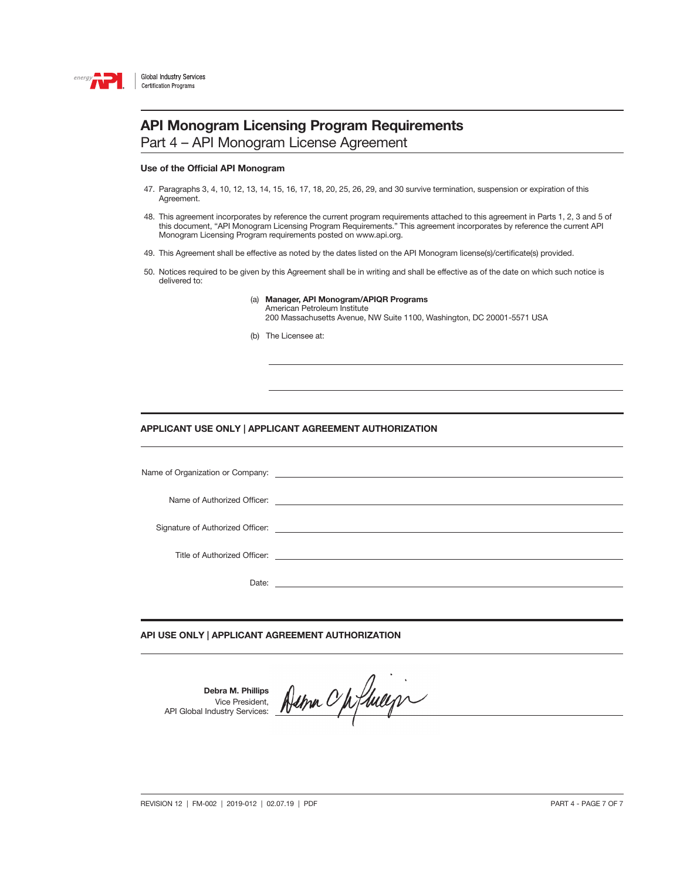

Part 4 – API Monogram License Agreement

#### Use of the Official API Monogram

- 47. Paragraphs 3, 4, 10, 12, 13, 14, 15, 16, 17, 18, 20, 25, 26, 29, and 30 survive termination, suspension or expiration of this Agreement.
- 48. This agreement incorporates by reference the current program requirements attached to this agreement in Parts 1, 2, 3 and 5 of this document, "API Monogram Licensing Program Requirements." This agreement incorporates by reference the current API Monogram Licensing Program requirements posted on www.api.org.
- 49. This Agreement shall be effective as noted by the dates listed on the API Monogram license(s)/certificate(s) provided.
- 50. Notices required to be given by this Agreement shall be in writing and shall be effective as of the date on which such notice is delivered to:
	- (a) Manager, API Monogram/APIQR Programs American Petroleum Institute 200 Massachusetts Avenue, NW Suite 1100, Washington, DC 20001-5571 USA
	- (b) The Licensee at:

#### APPLICANT USE ONLY | APPLICANT AGREEMENT AUTHORIZATION

| Signature of Authorized Officer: <u>contract the contract of the contract of the contract of</u> |
|--------------------------------------------------------------------------------------------------|
|                                                                                                  |
|                                                                                                  |
| Date:                                                                                            |
|                                                                                                  |

### API USE ONLY | APPLICANT AGREEMENT AUTHORIZATION

Debra M. Phillips Vice President, API Global Industry Services:

Dema Opfhiegn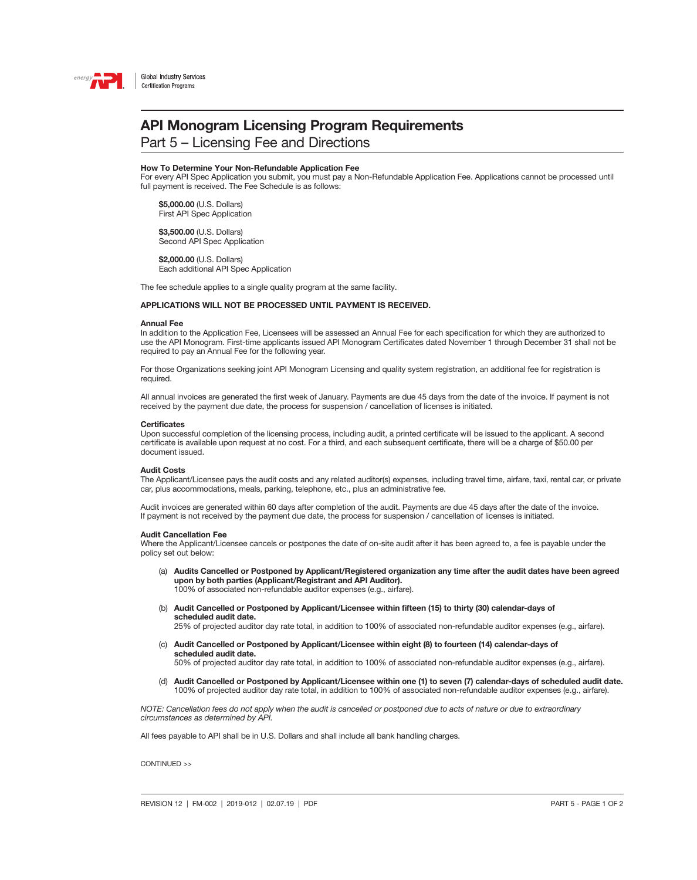

Part 5 – Licensing Fee and Directions

#### How To Determine Your Non-Refundable Application Fee

For every API Spec Application you submit, you must pay a Non-Refundable Application Fee. Applications cannot be processed until full payment is received. The Fee Schedule is as follows:

 \$5,000.00 (U.S. Dollars) First API Spec Application

 \$3,500.00 (U.S. Dollars) Second API Spec Application

\$2,000.00 (U.S. Dollars) Each additional API Spec Application

The fee schedule applies to a single quality program at the same facility.

#### APPLICATIONS WILL NOT BE PROCESSED UNTIL PAYMENT IS RECEIVED.

#### Annual Fee

In addition to the Application Fee, Licensees will be assessed an Annual Fee for each specification for which they are authorized to use the API Monogram. First-time applicants issued API Monogram Certificates dated November 1 through December 31 shall not be required to pay an Annual Fee for the following year.

For those Organizations seeking joint API Monogram Licensing and quality system registration, an additional fee for registration is required.

All annual invoices are generated the first week of January. Payments are due 45 days from the date of the invoice. If payment is not received by the payment due date, the process for suspension / cancellation of licenses is initiated.

#### **Certificates**

Upon successful completion of the licensing process, including audit, a printed certificate will be issued to the applicant. A second certificate is available upon request at no cost. For a third, and each subsequent certificate, there will be a charge of \$50.00 per document issued.

#### Audit Costs

The Applicant/Licensee pays the audit costs and any related auditor(s) expenses, including travel time, airfare, taxi, rental car, or private car, plus accommodations, meals, parking, telephone, etc., plus an administrative fee.

Audit invoices are generated within 60 days after completion of the audit. Payments are due 45 days after the date of the invoice. If payment is not received by the payment due date, the process for suspension / cancellation of licenses is initiated.

#### Audit Cancellation Fee

Where the Applicant/Licensee cancels or postpones the date of on-site audit after it has been agreed to, a fee is payable under the policy set out below:

- (a) Audits Cancelled or Postponed by Applicant/Registered organization any time after the audit dates have been agreed upon by both parties (Applicant/Registrant and API Auditor). 100% of associated non-refundable auditor expenses (e.g., airfare).
- (b) Audit Cancelled or Postponed by Applicant/Licensee within fifteen (15) to thirty (30) calendar-days of scheduled audit date.

25% of projected auditor day rate total, in addition to 100% of associated non-refundable auditor expenses (e.g., airfare).

(c) Audit Cancelled or Postponed by Applicant/Licensee within eight (8) to fourteen (14) calendar-days of scheduled audit date.

50% of projected auditor day rate total, in addition to 100% of associated non-refundable auditor expenses (e.g., airfare).

(d) Audit Cancelled or Postponed by Applicant/Licensee within one (1) to seven (7) calendar-days of scheduled audit date. 100% of projected auditor day rate total, in addition to 100% of associated non-refundable auditor expenses (e.g., airfare).

*NOTE: Cancellation fees do not apply when the audit is cancelled or postponed due to acts of nature or due to extraordinary circumstances as determined by API.*

All fees payable to API shall be in U.S. Dollars and shall include all bank handling charges.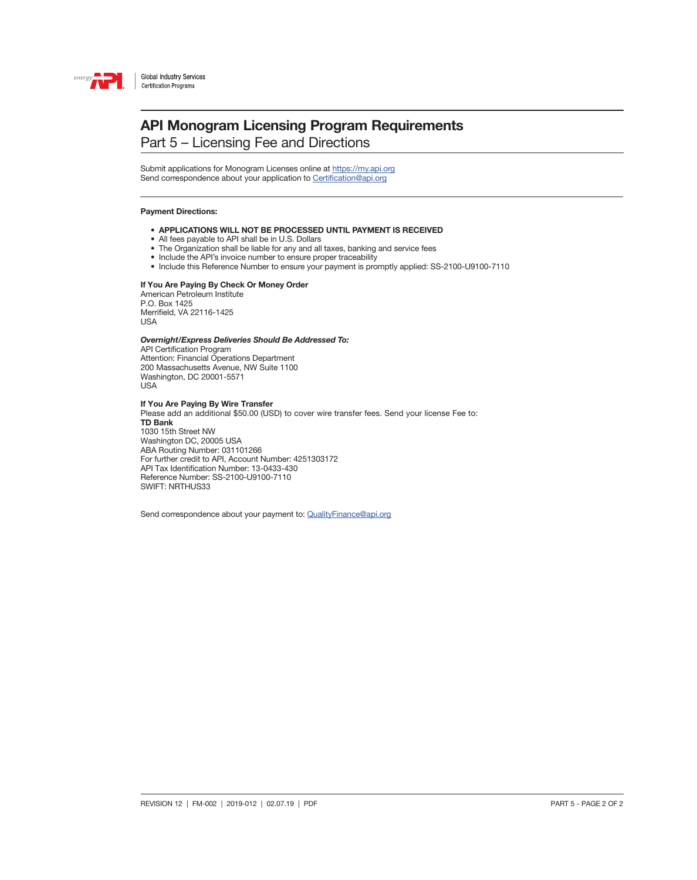

Part 5 – Licensing Fee and Directions

Submit applications for Monogram Licenses online at<https://my.api.org> Send correspondence about your application to [Certification@api.org](mailto:Certification%40api.org?subject=)

#### Payment Directions:

- APPLICATIONS WILL NOT BE PROCESSED UNTIL PAYMENT IS RECEIVED
- All fees payable to API shall be in U.S. Dollars
- The Organization shall be liable for any and all taxes, banking and service fees
- Include the API's invoice number to ensure proper traceability
- Include this Reference Number to ensure your payment is promptly applied: SS-2100-U9100-7110

### If You Are Paying By Check Or Money Order

American Petroleum Institute P.O. Box 1425 Merrifield, VA 22116-1425 USA

#### *Overnight/Express Deliveries Should Be Addressed To:*

API Certification Program Attention: Financial Operations Department 200 Massachusetts Avenue, NW Suite 1100 Washington, DC 20001-5571 USA

#### If You Are Paying By Wire Transfer

Please add an additional \$50.00 (USD) to cover wire transfer fees. Send your license Fee to: TD Bank 1030 15th Street NW Washington DC, 20005 USA ABA Routing Number: 031101266 For further credit to API, Account Number: 4251303172 API Tax Identification Number: 13-0433-430 Reference Number: SS-2100-U9100-7110 SWIFT: NRTHUS33

Send correspondence about your payment to: [QualityFinance@api.org](mailto:QualityFinance%40api.org?subject=)